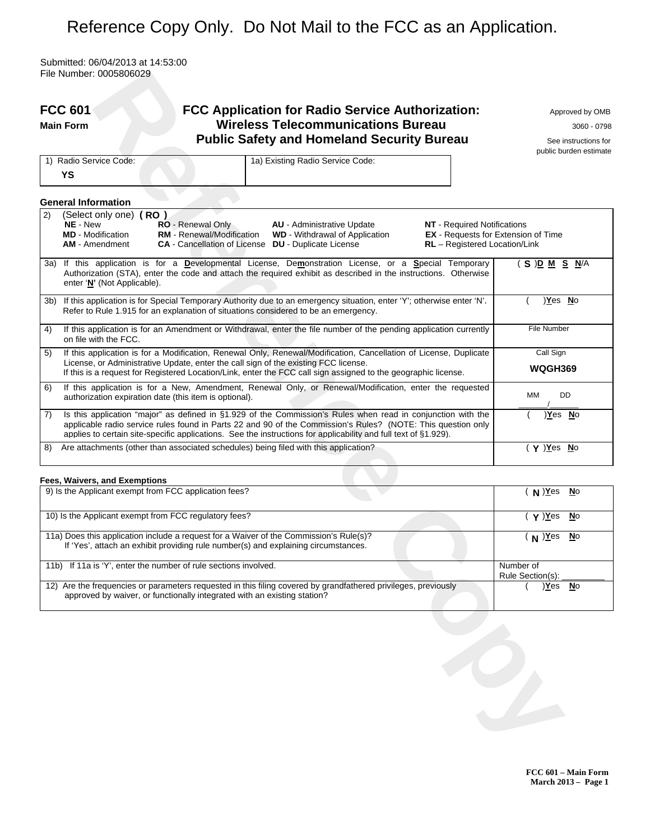# Reference Copy Only. Do Not Mail to the FCC as an Application.

Submitted: 06/04/2013 at 14:53:00 File Number: 0005806029

|      | <b>FCC 601</b><br>FCC Application for Radio Service Authorization:<br><b>Wireless Telecommunications Bureau</b><br><b>Main Form</b><br><b>Public Safety and Homeland Security Bureau</b>                                                                                                                                                                                                                                 | Approved by OMB<br>3060 - 0798<br>See instructions for<br>public burden estimate |
|------|--------------------------------------------------------------------------------------------------------------------------------------------------------------------------------------------------------------------------------------------------------------------------------------------------------------------------------------------------------------------------------------------------------------------------|----------------------------------------------------------------------------------|
|      | 1a) Existing Radio Service Code:<br>1) Radio Service Code:<br>YS                                                                                                                                                                                                                                                                                                                                                         |                                                                                  |
|      | <b>General Information</b>                                                                                                                                                                                                                                                                                                                                                                                               |                                                                                  |
| 2)   | (Select only one) (RO)<br>NE - New<br>RO - Renewal Only<br><b>AU</b> - Administrative Update<br><b>NT</b> - Required Notifications<br><b>MD</b> - Modification<br><b>RM</b> - Renewal/Modification<br><b>WD</b> - Withdrawal of Application<br><b>EX</b> - Requests for Extension of Time<br><b>CA</b> - Cancellation of License <b>DU</b> - Duplicate License<br>RL - Registered Location/Link<br><b>AM</b> - Amendment |                                                                                  |
| 3a)  | If this application is for a Developmental License, Demonstration License, or a Special Temporary<br>Authorization (STA), enter the code and attach the required exhibit as described in the instructions. Otherwise<br>enter 'N' (Not Applicable).                                                                                                                                                                      | (S) <u>DM SN</u> /A                                                              |
| 3b). | If this application is for Special Temporary Authority due to an emergency situation, enter 'Y'; otherwise enter 'N'.<br>Refer to Rule 1.915 for an explanation of situations considered to be an emergency.                                                                                                                                                                                                             | )Yes No                                                                          |
| 4)   | If this application is for an Amendment or Withdrawal, enter the file number of the pending application currently<br>on file with the FCC.                                                                                                                                                                                                                                                                               | <b>File Number</b>                                                               |
| 5)   | If this application is for a Modification, Renewal Only, Renewal/Modification, Cancellation of License, Duplicate<br>License, or Administrative Update, enter the call sign of the existing FCC license.<br>If this is a request for Registered Location/Link, enter the FCC call sign assigned to the geographic license.                                                                                               | Call Sign<br><b>WQGH369</b>                                                      |
| 6)   | If this application is for a New, Amendment, Renewal Only, or Renewal/Modification, enter the requested<br>authorization expiration date (this item is optional).                                                                                                                                                                                                                                                        | DD<br>MМ                                                                         |
| 7)   | Is this application "major" as defined in §1.929 of the Commission's Rules when read in conjunction with the<br>applicable radio service rules found in Parts 22 and 90 of the Commission's Rules? (NOTE: This question only<br>applies to certain site-specific applications. See the instructions for applicability and full text of §1.929).                                                                          | <u>)Yes No</u>                                                                   |
| 8)   | Are attachments (other than associated schedules) being filed with this application?                                                                                                                                                                                                                                                                                                                                     | ( Y ) <u>Y</u> es No                                                             |
|      | Fees, Waivers, and Exemptions                                                                                                                                                                                                                                                                                                                                                                                            |                                                                                  |
|      | 9) Is the Applicant exempt from FCC application fees?                                                                                                                                                                                                                                                                                                                                                                    | $(N)$ Yes<br>$\underline{\mathsf{N}}$ o                                          |
|      | 10) Is the Applicant exempt from FCC regulatory fees?                                                                                                                                                                                                                                                                                                                                                                    | $( \gamma )$ <u>Y</u> es<br><b>No</b>                                            |
|      | 11a) Does this application include a request for a Waiver of the Commission's Rule(s)?<br>If 'Yes', attach an exhibit providing rule number(s) and explaining circumstances.                                                                                                                                                                                                                                             | $(N)$ $Yes$<br>$\underline{\mathsf{N}}$ o                                        |
|      | 11b) If 11a is 'Y', enter the number of rule sections involved.                                                                                                                                                                                                                                                                                                                                                          | Number of<br>Rule Section(s):                                                    |
|      | 12) Are the frequencies or parameters requested in this filing covered by grandfathered privileges, previously<br>approved by waiver, or functionally integrated with an existing station?                                                                                                                                                                                                                               | $\underline{\mathsf{N}}$ o<br>)Yes                                               |
|      |                                                                                                                                                                                                                                                                                                                                                                                                                          |                                                                                  |

#### **Fees, Waivers, and Exemptions**

| 9) Is the Applicant exempt from FCC application fees?                                                                                                                                      | $N)$ Yes<br><b>No</b>          |
|--------------------------------------------------------------------------------------------------------------------------------------------------------------------------------------------|--------------------------------|
| 10) Is the Applicant exempt from FCC regulatory fees?                                                                                                                                      | $\mathsf{Y}$ )Yes<br><b>No</b> |
| 11a) Does this application include a request for a Waiver of the Commission's Rule(s)?<br>If 'Yes', attach an exhibit providing rule number(s) and explaining circumstances.               | $N^{2}$<br><b>No</b>           |
| 11b) If 11a is 'Y', enter the number of rule sections involved.                                                                                                                            | Number of<br>Rule Section(s):  |
| 12) Are the frequencies or parameters requested in this filing covered by grandfathered privileges, previously<br>approved by waiver, or functionally integrated with an existing station? | <b>No</b><br>Yes               |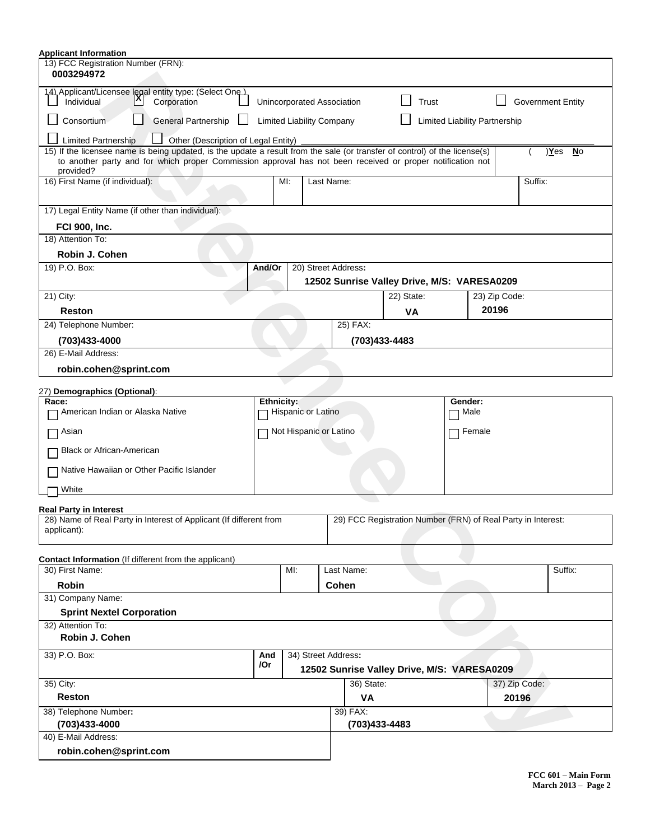| <b>Applicant Information</b>                                                                                                                                                                                                                          |            |     |                    |                                  |            |                                                              |               |                          |
|-------------------------------------------------------------------------------------------------------------------------------------------------------------------------------------------------------------------------------------------------------|------------|-----|--------------------|----------------------------------|------------|--------------------------------------------------------------|---------------|--------------------------|
| 13) FCC Registration Number (FRN):<br>0003294972                                                                                                                                                                                                      |            |     |                    |                                  |            |                                                              |               |                          |
| 14) Applicant/Licensee legal entity type: (Select One)<br>Individual<br>Corporation                                                                                                                                                                   |            |     |                    | Unincorporated Association       | Trust      |                                                              |               | <b>Government Entity</b> |
| Consortium<br><b>General Partnership</b>                                                                                                                                                                                                              |            |     |                    | <b>Limited Liability Company</b> |            | Limited Liability Partnership                                |               |                          |
| <b>Limited Partnership</b><br>Other (Description of Legal Entity)                                                                                                                                                                                     |            |     |                    |                                  |            |                                                              |               |                          |
| 15) If the licensee name is being updated, is the update a result from the sale (or transfer of control) of the license(s)<br>to another party and for which proper Commission approval has not been received or proper notification not<br>provided? |            |     |                    |                                  |            |                                                              |               | )Yes<br><u>No</u>        |
| 16) First Name (if individual):                                                                                                                                                                                                                       |            | MI: | Last Name:         |                                  |            |                                                              |               | Suffix:                  |
| 17) Legal Entity Name (if other than individual):                                                                                                                                                                                                     |            |     |                    |                                  |            |                                                              |               |                          |
| <b>FCI 900, Inc.</b>                                                                                                                                                                                                                                  |            |     |                    |                                  |            |                                                              |               |                          |
| 18) Attention To:                                                                                                                                                                                                                                     |            |     |                    |                                  |            |                                                              |               |                          |
| Robin J. Cohen                                                                                                                                                                                                                                        |            |     |                    |                                  |            |                                                              |               |                          |
| 19) P.O. Box:                                                                                                                                                                                                                                         | And/Or     |     |                    | 20) Street Address:              |            |                                                              |               |                          |
|                                                                                                                                                                                                                                                       |            |     |                    |                                  |            | 12502 Sunrise Valley Drive, M/S: VARESA0209                  |               |                          |
| 21) City:                                                                                                                                                                                                                                             |            |     |                    |                                  | 22) State: |                                                              | 23) Zip Code: |                          |
| Reston                                                                                                                                                                                                                                                |            |     |                    |                                  | <b>VA</b>  |                                                              | 20196         |                          |
| 24) Telephone Number:                                                                                                                                                                                                                                 |            |     |                    | 25) FAX:                         |            |                                                              |               |                          |
| (703)433-4000                                                                                                                                                                                                                                         |            |     |                    | (703)433-4483                    |            |                                                              |               |                          |
| 26) E-Mail Address:                                                                                                                                                                                                                                   |            |     |                    |                                  |            |                                                              |               |                          |
| robin.cohen@sprint.com                                                                                                                                                                                                                                |            |     |                    |                                  |            |                                                              |               |                          |
| 27) Demographics (Optional):                                                                                                                                                                                                                          |            |     |                    |                                  |            |                                                              |               |                          |
| Race:                                                                                                                                                                                                                                                 | Ethnicity: |     |                    |                                  |            | Gender:                                                      |               |                          |
| American Indian or Alaska Native                                                                                                                                                                                                                      |            |     | Hispanic or Latino |                                  |            | Male                                                         |               |                          |
| Asian                                                                                                                                                                                                                                                 |            |     |                    | Not Hispanic or Latino           |            | $\Box$ Female                                                |               |                          |
| <b>Black or African-American</b>                                                                                                                                                                                                                      |            |     |                    |                                  |            |                                                              |               |                          |
| Native Hawaiian or Other Pacific Islander                                                                                                                                                                                                             |            |     |                    |                                  |            |                                                              |               |                          |
| White                                                                                                                                                                                                                                                 |            |     |                    |                                  |            |                                                              |               |                          |
| <b>Real Party in Interest</b>                                                                                                                                                                                                                         |            |     |                    |                                  |            |                                                              |               |                          |
| 28) Name of Real Party in Interest of Applicant (If different from<br>applicant):                                                                                                                                                                     |            |     |                    |                                  |            | 29) FCC Registration Number (FRN) of Real Party in Interest: |               |                          |
| <b>Contact Information</b> (If different from the applicant)                                                                                                                                                                                          |            |     |                    |                                  |            |                                                              |               |                          |
| 30) First Name:                                                                                                                                                                                                                                       |            | MI: |                    | Last Name:                       |            |                                                              |               | Suffix:                  |
| <b>Robin</b>                                                                                                                                                                                                                                          |            |     |                    | Cohen                            |            |                                                              |               |                          |
| 31) Company Name:                                                                                                                                                                                                                                     |            |     |                    |                                  |            |                                                              |               |                          |
| <b>Sprint Nextel Corporation</b>                                                                                                                                                                                                                      |            |     |                    |                                  |            |                                                              |               |                          |
| 32) Attention To:<br>Robin J. Cohen                                                                                                                                                                                                                   |            |     |                    |                                  |            |                                                              |               |                          |
| 33) P.O. Box:                                                                                                                                                                                                                                         | And        |     |                    | 34) Street Address:              |            |                                                              |               |                          |
|                                                                                                                                                                                                                                                       | /Or        |     |                    |                                  |            | 12502 Sunrise Valley Drive, M/S: VARESA0209                  |               |                          |
| 35) City:                                                                                                                                                                                                                                             |            |     |                    | 36) State:                       |            |                                                              |               | 37) Zip Code:            |
| <b>Reston</b>                                                                                                                                                                                                                                         |            |     |                    | VA                               |            |                                                              |               | 20196                    |
| 38) Telephone Number:                                                                                                                                                                                                                                 |            |     |                    | 39) FAX:                         |            |                                                              |               |                          |
| (703)433-4000                                                                                                                                                                                                                                         |            |     |                    | (703)433-4483                    |            |                                                              |               |                          |
| 40) E-Mail Address:                                                                                                                                                                                                                                   |            |     |                    |                                  |            |                                                              |               |                          |
| robin.cohen@sprint.com                                                                                                                                                                                                                                |            |     |                    |                                  |            |                                                              |               |                          |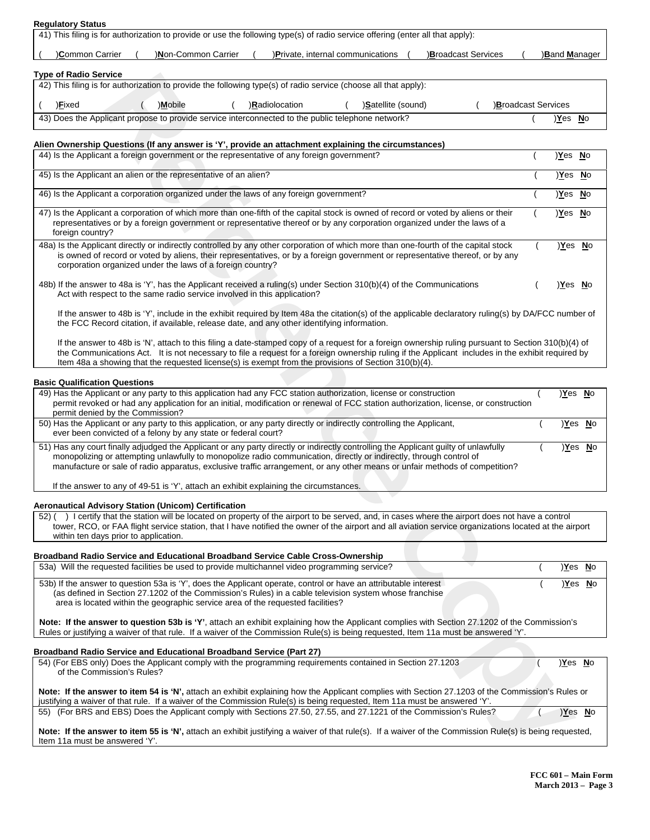|  | <b>Regulatory Status</b> |
|--|--------------------------|
|  |                          |

| 41) This filing is for authorization to provide or use the following type(s) of radio service offering (enter all that apply):<br>Common Carrier | )Non-Common Carrier |                | )Private, internal communications |                          | <b>Broadcast Services</b> |                           | <b>Band Manager</b> |  |
|--------------------------------------------------------------------------------------------------------------------------------------------------|---------------------|----------------|-----------------------------------|--------------------------|---------------------------|---------------------------|---------------------|--|
| <b>Type of Radio Service</b>                                                                                                                     |                     |                |                                   |                          |                           |                           |                     |  |
| 42) This filing is for authorization to provide the following type(s) of radio service (choose all that apply):                                  |                     |                |                                   |                          |                           |                           |                     |  |
|                                                                                                                                                  |                     |                |                                   |                          |                           |                           |                     |  |
| ) <b>Fixed</b>                                                                                                                                   | )Mobile             | )Radiolocation |                                   | <b>Satellite (sound)</b> |                           | <b>Broadcast Services</b> |                     |  |
|                                                                                                                                                  |                     |                |                                   |                          |                           |                           | )Yes No             |  |
| 43) Does the Applicant propose to provide service interconnected to the public telephone network?                                                |                     |                |                                   |                          |                           |                           |                     |  |
| Alien Ownership Questions (If any answer is 'Y', provide an attachment explaining the circumstances)                                             |                     |                |                                   |                          |                           |                           |                     |  |

| Type of Radio Service                                                                                                                                                                                                                                                                                                                                                                                            |               |                |
|------------------------------------------------------------------------------------------------------------------------------------------------------------------------------------------------------------------------------------------------------------------------------------------------------------------------------------------------------------------------------------------------------------------|---------------|----------------|
| 42) This filing is for authorization to provide the following type(s) of radio service (choose all that apply):                                                                                                                                                                                                                                                                                                  |               |                |
| )Satellite (sound)<br>Broadcast Services<br>)Eixed<br>)Mobile<br>)Radiolocation                                                                                                                                                                                                                                                                                                                                  |               |                |
| 43) Does the Applicant propose to provide service interconnected to the public telephone network?                                                                                                                                                                                                                                                                                                                | <u>Yes No</u> |                |
| Alien Ownership Questions (If any answer is 'Y', provide an attachment explaining the circumstances)                                                                                                                                                                                                                                                                                                             |               |                |
| 44) Is the Applicant a foreign government or the representative of any foreign government?                                                                                                                                                                                                                                                                                                                       | )Yes No       |                |
| 45) Is the Applicant an alien or the representative of an alien?                                                                                                                                                                                                                                                                                                                                                 | Yes No        |                |
| 46) Is the Applicant a corporation organized under the laws of any foreign government?                                                                                                                                                                                                                                                                                                                           | <u>Yes No</u> |                |
| 47) Is the Applicant a corporation of which more than one-fifth of the capital stock is owned of record or voted by aliens or their<br>representatives or by a foreign government or representative thereof or by any corporation organized under the laws of a<br>foreign country?                                                                                                                              | <u>Yes No</u> |                |
| 48a) Is the Applicant directly or indirectly controlled by any other corporation of which more than one-fourth of the capital stock<br>is owned of record or voted by aliens, their representatives, or by a foreign government or representative thereof, or by any<br>corporation organized under the laws of a foreign country?                                                                               | Yes No        |                |
| 48b) If the answer to 48a is 'Y', has the Applicant received a ruling(s) under Section 310(b)(4) of the Communications<br>Act with respect to the same radio service involved in this application?                                                                                                                                                                                                               | Yes No        |                |
| If the answer to 48b is 'Y', include in the exhibit required by Item 48a the citation(s) of the applicable declaratory ruling(s) by DA/FCC number of<br>the FCC Record citation, if available, release date, and any other identifying information.                                                                                                                                                              |               |                |
| If the answer to 48b is 'N', attach to this filing a date-stamped copy of a request for a foreign ownership ruling pursuant to Section 310(b)(4) of<br>the Communications Act. It is not necessary to file a request for a foreign ownership ruling if the Applicant includes in the exhibit required by<br>Item 48a a showing that the requested license(s) is exempt from the provisions of Section 310(b)(4). |               |                |
| <b>Basic Qualification Questions</b>                                                                                                                                                                                                                                                                                                                                                                             |               |                |
| 49) Has the Applicant or any party to this application had any FCC station authorization, license or construction<br>permit revoked or had any application for an initial, modification or renewal of FCC station authorization, license, or construction<br>permit denied by the Commission?                                                                                                                    |               | <u>)Yes No</u> |
| 50) Has the Applicant or any party to this application, or any party directly or indirectly controlling the Applicant,<br>ever been convicted of a felony by any state or federal court?                                                                                                                                                                                                                         |               | <u>)Yes No</u> |
| 51) Has any court finally adjudged the Applicant or any party directly or indirectly controlling the Applicant guilty of unlawfully<br>monopolizing or attempting unlawfully to monopolize radio communication, directly or indirectly, through control of<br>manufacture or sale of radio apparatus, exclusive traffic arrangement, or any other means or unfair methods of competition?                        |               | <u>Yes No</u>  |
| If the answer to any of 49-51 is 'Y', attach an exhibit explaining the circumstances.                                                                                                                                                                                                                                                                                                                            |               |                |
| <b>Aeronautical Advisory Station (Unicom) Certification</b>                                                                                                                                                                                                                                                                                                                                                      |               |                |
| 52) () I certify that the station will be located on property of the airport to be served, and, in cases where the airport does not have a control<br>tower, RCO, or FAA flight service station, that I have notified the owner of the airport and all aviation service organizations located at the airport<br>within ten days prior to application.                                                            |               |                |
| Broadband Radio Service and Educational Broadband Service Cable Cross-Ownership                                                                                                                                                                                                                                                                                                                                  |               |                |
| 53a) Will the requested facilities be used to provide multichannel video programming service?                                                                                                                                                                                                                                                                                                                    |               | <u>)Yes No</u> |
| 53b) If the answer to question 53a is 'Y', does the Applicant operate, control or have an attributable interest<br>(as defined in Section 27.1202 of the Commission's Rules) in a cable television system whose franchise<br>area is located within the geographic service area of the requested facilities?                                                                                                     |               | <u>)Yes No</u> |
| Note: If the answer to question 53b is 'Y', attach an exhibit explaining how the Applicant complies with Section 27.1202 of the Commission's<br>Rules or justifying a waiver of that rule. If a waiver of the Commission Rule(s) is being requested, Item 11a must be answered 'Y'.                                                                                                                              |               |                |
| <b>Broadband Radio Service and Educational Broadband Service (Part 27)</b>                                                                                                                                                                                                                                                                                                                                       |               |                |
| 54) (For EBS only) Does the Applicant comply with the programming requirements contained in Section 27.1203<br>of the Commission's Rules?                                                                                                                                                                                                                                                                        |               | Yes No         |
| Note: If the answer to item 54 is 'N', attach an exhibit explaining how the Applicant complies with Section 27.1203 of the Commission's Rules or<br>justifying a waiver of that rule. If a waiver of the Commission Rule(s) is being requested, Item 11a must be answered 'Y'.                                                                                                                                   |               |                |
| 55) (For BRS and EBS) Does the Applicant comply with Sections 27.50, 27.55, and 27.1221 of the Commission's Rules?                                                                                                                                                                                                                                                                                               |               | )Yes No        |
| Note: If the answer to item 55 is 'N', attach an exhibit justifying a waiver of that rule(s). If a waiver of the Commission Rule(s) is being requested,<br>Item 11a must be answered 'Y'.                                                                                                                                                                                                                        |               |                |
|                                                                                                                                                                                                                                                                                                                                                                                                                  |               |                |

#### **Basic Qualification Questions**

| bujio wuunivution wucjilong                                                                                                          |         |  |
|--------------------------------------------------------------------------------------------------------------------------------------|---------|--|
| 49) Has the Applicant or any party to this application had any FCC station authorization, license or construction                    | Yes No  |  |
| permit revoked or had any application for an initial, modification or renewal of FCC station authorization, license, or construction |         |  |
| permit denied by the Commission?                                                                                                     |         |  |
| 50) Has the Applicant or any party to this application, or any party directly or indirectly controlling the Applicant,               | Yes No  |  |
| ever been convicted of a felony by any state or federal court?                                                                       |         |  |
| 51) Has any court finally adjudged the Applicant or any party directly or indirectly controlling the Applicant guilty of unlawfully  | )Yes No |  |
| monopolizing or attempting unlawfully to monopolize radio communication, directly or indirectly, through control of                  |         |  |
| manufacture or sale of radio apparatus, exclusive traffic arrangement, or any other means or unfair methods of competition?          |         |  |
|                                                                                                                                      |         |  |
| If the computer and all AO FA in WA, attach an additional chain the sign meeting                                                     |         |  |

#### **Aeronautical Advisory Station (Unicom) Certification**

## **Broadband Radio Service and Educational Broadband Service Cable Cross-Ownership**

| 53a) Will the requested facilities be used to provide multichannel video programming service?                                                                                                                                                                                                                | Yes No |  |
|--------------------------------------------------------------------------------------------------------------------------------------------------------------------------------------------------------------------------------------------------------------------------------------------------------------|--------|--|
| 53b) If the answer to question 53a is 'Y', does the Applicant operate, control or have an attributable interest<br>(as defined in Section 27.1202 of the Commission's Rules) in a cable television system whose franchise<br>area is located within the geographic service area of the requested facilities? | Yes No |  |
| Note: If the answer to question 53b is 'Y', attach an exhibit explaining how the Applicant complies with Section 27.1202 of the Commission's<br>Rules or justifying a waiver of that rule. If a waiver of the Commission Rule(s) is being requested, Item 11a must be answered 'Y'.                          |        |  |
| <b>Broadband Radio Service and Educational Broadband Service (Part 27)</b>                                                                                                                                                                                                                                   |        |  |
| 54) (For EBS only) Does the Applicant comply with the programming requirements contained in Section 27.1203<br>of the Commission's Rules?                                                                                                                                                                    | Yes No |  |
| Note: If the answer to item 54 is 'N', attach an exhibit explaining how the Applicant complies with Section 27.1203 of the Commission's Rules or                                                                                                                                                             |        |  |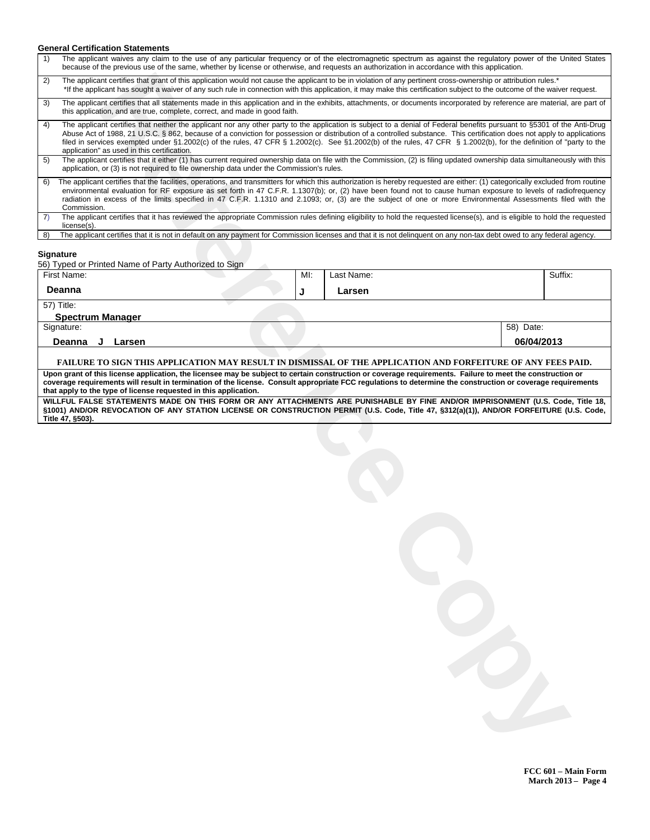#### **General Certification Statements**

| The applicant waives any claim to the use of any particular frequency or of the electromagnetic spectrum as against the regulatory power of the United States<br>1)<br>because of the previous use of the same, whether by license or otherwise, and requests an authorization in accordance with this application.                                                                                                                                                                                                                                                           |     |            |                         |
|-------------------------------------------------------------------------------------------------------------------------------------------------------------------------------------------------------------------------------------------------------------------------------------------------------------------------------------------------------------------------------------------------------------------------------------------------------------------------------------------------------------------------------------------------------------------------------|-----|------------|-------------------------|
| The applicant certifies that grant of this application would not cause the applicant to be in violation of any pertinent cross-ownership or attribution rules.*<br>2)<br>*If the applicant has sought a waiver of any such rule in connection with this application, it may make this certification subject to the outcome of the waiver request.                                                                                                                                                                                                                             |     |            |                         |
| The applicant certifies that all statements made in this application and in the exhibits, attachments, or documents incorporated by reference are material, are part of<br>3)<br>this application, and are true, complete, correct, and made in good faith.                                                                                                                                                                                                                                                                                                                   |     |            |                         |
| The applicant certifies that neither the applicant nor any other party to the application is subject to a denial of Federal benefits pursuant to §5301 of the Anti-Drug<br>4)<br>Abuse Act of 1988, 21 U.S.C. § 862, because of a conviction for possession or distribution of a controlled substance. This certification does not apply to applications<br>filed in services exempted under §1.2002(c) of the rules, 47 CFR § 1.2002(c). See §1.2002(b) of the rules, 47 CFR § 1.2002(b), for the definition of "party to the<br>application" as used in this certification. |     |            |                         |
| The applicant certifies that it either (1) has current required ownership data on file with the Commission, (2) is filing updated ownership data simultaneously with this<br>5)<br>application, or (3) is not required to file ownership data under the Commission's rules.                                                                                                                                                                                                                                                                                                   |     |            |                         |
| The applicant certifies that the facilities, operations, and transmitters for which this authorization is hereby requested are either: (1) categorically excluded from routine<br>6)<br>environmental evaluation for RF exposure as set forth in 47 C.F.R. 1.1307(b); or, (2) have been found not to cause human exposure to levels of radiofrequency<br>radiation in excess of the limits specified in 47 C.F.R. 1.1310 and 2.1093; or, (3) are the subject of one or more Environmental Assessments filed with the<br>Commission.                                           |     |            |                         |
| The applicant certifies that it has reviewed the appropriate Commission rules defining eligibility to hold the requested license(s), and is eligible to hold the requested<br>7)<br>$license(s)$ .                                                                                                                                                                                                                                                                                                                                                                            |     |            |                         |
| The applicant certifies that it is not in default on any payment for Commission licenses and that it is not delinquent on any non-tax debt owed to any federal agency.<br>8)                                                                                                                                                                                                                                                                                                                                                                                                  |     |            |                         |
| Signature<br>56) Typed or Printed Name of Party Authorized to Sign                                                                                                                                                                                                                                                                                                                                                                                                                                                                                                            |     |            |                         |
| First Name:                                                                                                                                                                                                                                                                                                                                                                                                                                                                                                                                                                   | MI: | Last Name: | Suffix:                 |
| Deanna                                                                                                                                                                                                                                                                                                                                                                                                                                                                                                                                                                        | J   | Larsen     |                         |
| 57) Title:                                                                                                                                                                                                                                                                                                                                                                                                                                                                                                                                                                    |     |            |                         |
| <b>Spectrum Manager</b>                                                                                                                                                                                                                                                                                                                                                                                                                                                                                                                                                       |     |            |                         |
| Signature:<br>Deanna<br>J<br>Larsen                                                                                                                                                                                                                                                                                                                                                                                                                                                                                                                                           |     |            | 58) Date:<br>06/04/2013 |
| FAILURE TO SIGN THIS APPLICATION MAY RESULT IN DISMISSAL OF THE APPLICATION AND FORFEITURE OF ANY FEES PAID.                                                                                                                                                                                                                                                                                                                                                                                                                                                                  |     |            |                         |
| Upon grant of this license application, the licensee may be subject to certain construction or coverage requirements. Failure to meet the construction or                                                                                                                                                                                                                                                                                                                                                                                                                     |     |            |                         |
| coverage requirements will result in termination of the license. Consult appropriate FCC regulations to determine the construction or coverage requirements<br>that apply to the type of license requested in this application.                                                                                                                                                                                                                                                                                                                                               |     |            |                         |
| WILLFUL FALSE STATEMENTS MADE ON THIS FORM OR ANY ATTACHMENTS ARE PUNISHABLE BY FINE AND/OR IMPRISONMENT (U.S. Code, Title 18,<br>§1001) AND/OR REVOCATION OF ANY STATION LICENSE OR CONSTRUCTION PERMIT (U.S. Code, Title 47, §312(a)(1)), AND/OR FORFEITURE (U.S. Code,                                                                                                                                                                                                                                                                                                     |     |            |                         |
| Title 47, §503).                                                                                                                                                                                                                                                                                                                                                                                                                                                                                                                                                              |     |            |                         |
|                                                                                                                                                                                                                                                                                                                                                                                                                                                                                                                                                                               |     |            |                         |
|                                                                                                                                                                                                                                                                                                                                                                                                                                                                                                                                                                               |     |            |                         |
|                                                                                                                                                                                                                                                                                                                                                                                                                                                                                                                                                                               |     |            |                         |
|                                                                                                                                                                                                                                                                                                                                                                                                                                                                                                                                                                               |     |            |                         |
|                                                                                                                                                                                                                                                                                                                                                                                                                                                                                                                                                                               |     |            |                         |
|                                                                                                                                                                                                                                                                                                                                                                                                                                                                                                                                                                               |     |            |                         |
|                                                                                                                                                                                                                                                                                                                                                                                                                                                                                                                                                                               |     |            |                         |
|                                                                                                                                                                                                                                                                                                                                                                                                                                                                                                                                                                               |     |            |                         |
|                                                                                                                                                                                                                                                                                                                                                                                                                                                                                                                                                                               |     |            |                         |
|                                                                                                                                                                                                                                                                                                                                                                                                                                                                                                                                                                               |     |            |                         |
|                                                                                                                                                                                                                                                                                                                                                                                                                                                                                                                                                                               |     |            |                         |
|                                                                                                                                                                                                                                                                                                                                                                                                                                                                                                                                                                               |     |            |                         |
|                                                                                                                                                                                                                                                                                                                                                                                                                                                                                                                                                                               |     |            |                         |
|                                                                                                                                                                                                                                                                                                                                                                                                                                                                                                                                                                               |     |            |                         |
|                                                                                                                                                                                                                                                                                                                                                                                                                                                                                                                                                                               |     |            |                         |
|                                                                                                                                                                                                                                                                                                                                                                                                                                                                                                                                                                               |     |            |                         |
|                                                                                                                                                                                                                                                                                                                                                                                                                                                                                                                                                                               |     |            |                         |
|                                                                                                                                                                                                                                                                                                                                                                                                                                                                                                                                                                               |     |            |                         |
|                                                                                                                                                                                                                                                                                                                                                                                                                                                                                                                                                                               |     |            |                         |
|                                                                                                                                                                                                                                                                                                                                                                                                                                                                                                                                                                               |     |            |                         |
|                                                                                                                                                                                                                                                                                                                                                                                                                                                                                                                                                                               |     |            |                         |
|                                                                                                                                                                                                                                                                                                                                                                                                                                                                                                                                                                               |     |            |                         |
|                                                                                                                                                                                                                                                                                                                                                                                                                                                                                                                                                                               |     |            |                         |

**FCC 601 Main Form March 2013 Page 4**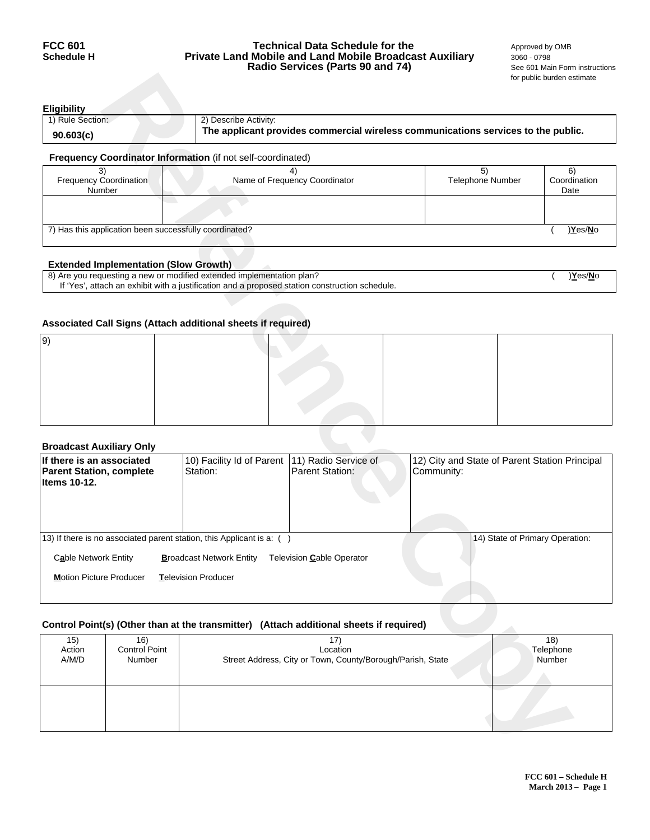## **FCC 601 Technical Data Schedule for the** <br>**Schedule H Private Land Mobile and Land Mobile Broadcast Auxiliary** 3060 - 0798 **Private Land Mobile and Land Mobile Broadcast Auxiliary** 3060 - 0798<br>**Radio Services (Parts 90 and 74)** See 601 Main Form instructions **Radio Services (Parts 90 and 74)**

| Eligibility      |                                                                                   |
|------------------|-----------------------------------------------------------------------------------|
| 1) Rule Section: | 2) Describe Activity:                                                             |
| 90.603(c)        | The applicant provides commercial wireless communications services to the public. |
|                  | Froguesia e : Consiliation Information (if not only consiliated)                  |

#### **Frequency Coordinator Information** (if not self-coordinated)

| <b>Frequency Coordination</b><br>Number                | Name of Frequency Coordinator | <b>Telephone Number</b> | Coordination<br>Date |  |  |  |
|--------------------------------------------------------|-------------------------------|-------------------------|----------------------|--|--|--|
|                                                        |                               |                         |                      |  |  |  |
| 7) Has this application been successfully coordinated? |                               |                         |                      |  |  |  |

## **Extended Implementation (Slow Growth)**

| 8) Are you requesting a new or modified extended implementation plan?                          | Yes/No |
|------------------------------------------------------------------------------------------------|--------|
| If 'Yes', attach an exhibit with a justification and a proposed station construction schedule. |        |

## **Associated Call Signs (Attach additional sheets if required)**

| 9 |  |  |
|---|--|--|
|   |  |  |
|   |  |  |
|   |  |  |
|   |  |  |
|   |  |  |

## **Broadcast Auxiliary Only**

|                                                              |                                              |                                                                       |                                                                                                |            |                                                | for public burden estimate |
|--------------------------------------------------------------|----------------------------------------------|-----------------------------------------------------------------------|------------------------------------------------------------------------------------------------|------------|------------------------------------------------|----------------------------|
| <b>Eligibility</b>                                           |                                              |                                                                       |                                                                                                |            |                                                |                            |
| 1) Rule Section:                                             |                                              | 2) Describe Activity:                                                 |                                                                                                |            |                                                |                            |
| 90.603(c)                                                    |                                              |                                                                       | The applicant provides commercial wireless communications services to the public.              |            |                                                |                            |
|                                                              |                                              | Frequency Coordinator Information (if not self-coordinated)           |                                                                                                |            | 5)                                             |                            |
| 3)<br><b>Frequency Coordination</b>                          |                                              |                                                                       | 4)<br>Name of Frequency Coordinator                                                            |            |                                                | 6)<br>Coordination         |
|                                                              | Number                                       |                                                                       |                                                                                                |            |                                                | Date                       |
|                                                              |                                              |                                                                       |                                                                                                |            |                                                |                            |
| 7) Has this application been successfully coordinated?       |                                              |                                                                       |                                                                                                |            |                                                | )Yes/No                    |
|                                                              |                                              |                                                                       |                                                                                                |            |                                                |                            |
|                                                              | <b>Extended Implementation (Slow Growth)</b> | 8) Are you requesting a new or modified extended implementation plan? |                                                                                                |            |                                                | )Yes/No                    |
|                                                              |                                              |                                                                       | If 'Yes', attach an exhibit with a justification and a proposed station construction schedule. |            |                                                |                            |
|                                                              |                                              |                                                                       |                                                                                                |            |                                                |                            |
|                                                              |                                              | Associated Call Signs (Attach additional sheets if required)          |                                                                                                |            |                                                |                            |
| 9)                                                           |                                              |                                                                       |                                                                                                |            |                                                |                            |
|                                                              |                                              |                                                                       |                                                                                                |            |                                                |                            |
|                                                              |                                              |                                                                       |                                                                                                |            |                                                |                            |
|                                                              |                                              |                                                                       |                                                                                                |            |                                                |                            |
|                                                              |                                              |                                                                       |                                                                                                |            |                                                |                            |
|                                                              |                                              |                                                                       |                                                                                                |            |                                                |                            |
| <b>Broadcast Auxiliary Only</b>                              |                                              |                                                                       |                                                                                                |            |                                                |                            |
| If there is an associated<br><b>Parent Station, complete</b> |                                              | 10) Facility Id of Parent<br>Station:                                 | 11) Radio Service of<br><b>Parent Station:</b>                                                 | Community: | 12) City and State of Parent Station Principal |                            |
| Items 10-12.                                                 |                                              |                                                                       |                                                                                                |            |                                                |                            |
|                                                              |                                              |                                                                       |                                                                                                |            |                                                |                            |
|                                                              |                                              |                                                                       |                                                                                                |            |                                                |                            |
|                                                              |                                              | 13) If there is no associated parent station, this Applicant is a: () |                                                                                                |            | 14) State of Primary Operation:                |                            |
| Cable Network Entity                                         |                                              | <b>Broadcast Network Entity</b>                                       | Television Cable Operator                                                                      |            |                                                |                            |
| <b>Motion Picture Producer</b>                               |                                              | Television Producer                                                   |                                                                                                |            |                                                |                            |
|                                                              |                                              |                                                                       |                                                                                                |            |                                                |                            |
|                                                              |                                              |                                                                       |                                                                                                |            |                                                |                            |
|                                                              |                                              |                                                                       | Control Point(s) (Other than at the transmitter) (Attach additional sheets if required)        |            |                                                |                            |
| 15)<br>Action                                                | 16)<br>Control Point                         |                                                                       | 17)<br>Location                                                                                |            |                                                | 18)<br>Telephone           |
| A/M/D                                                        | Number                                       |                                                                       | Street Address, City or Town, County/Borough/Parish, State                                     |            |                                                | Number                     |
|                                                              |                                              |                                                                       |                                                                                                |            |                                                |                            |
|                                                              |                                              |                                                                       |                                                                                                |            |                                                |                            |
|                                                              |                                              |                                                                       |                                                                                                |            |                                                |                            |
|                                                              |                                              |                                                                       |                                                                                                |            |                                                |                            |
|                                                              |                                              |                                                                       |                                                                                                |            |                                                |                            |

## **Control Point(s) (Other than at the transmitter) (Attach additional sheets if required)**

| 15)    | 16)                  | 17                                                         | 18)       |
|--------|----------------------|------------------------------------------------------------|-----------|
| Action | <b>Control Point</b> | Location                                                   | Telephone |
| A/M/D  | Number               | Street Address, City or Town, County/Borough/Parish, State | Number    |
|        |                      |                                                            |           |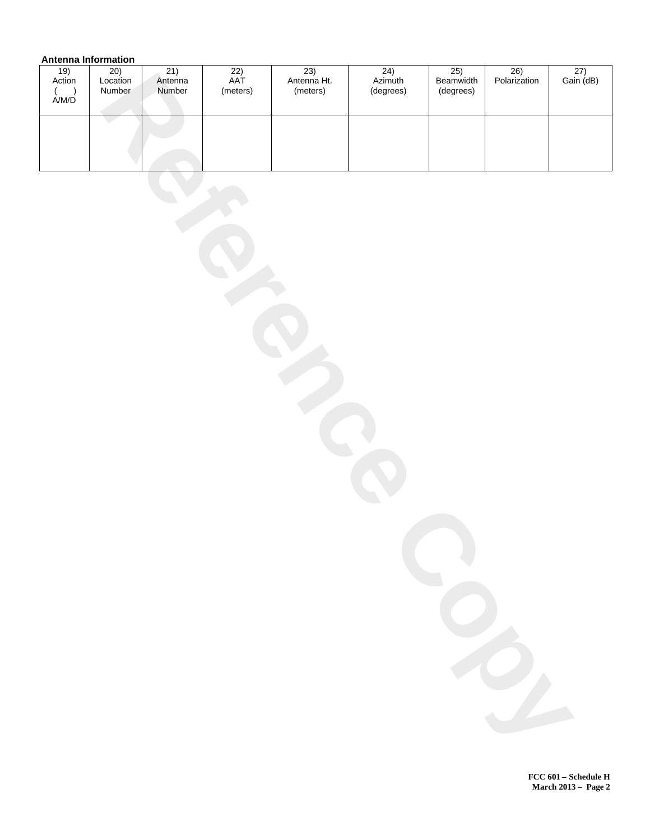## **Antenna Information**

| <br>$\frac{19}{\text{Action}}$                  | <br>20)<br>Location<br>Number | 21)<br>Antenna<br>Number | $\overline{22)}$<br>AAT<br>(meters) | 23)<br>Antenna Ht.<br>(meters) | 24)<br>Azimuth<br>(degrees) | 25)<br>Beamwidth<br>(degrees) | 26)<br>Polarization | $\frac{27}{\text{Gain}(\text{dB})}$ |
|-------------------------------------------------|-------------------------------|--------------------------|-------------------------------------|--------------------------------|-----------------------------|-------------------------------|---------------------|-------------------------------------|
| $\begin{array}{c} ( \ \hbox{A/M/D} \end{array}$ |                               |                          |                                     |                                |                             |                               |                     |                                     |
|                                                 |                               |                          |                                     |                                |                             |                               |                     |                                     |
|                                                 |                               |                          |                                     |                                |                             |                               |                     |                                     |
|                                                 |                               |                          |                                     |                                |                             |                               |                     |                                     |
|                                                 |                               |                          |                                     |                                |                             |                               |                     |                                     |
|                                                 |                               |                          |                                     |                                |                             |                               |                     |                                     |
|                                                 |                               |                          |                                     |                                |                             |                               |                     |                                     |
|                                                 |                               |                          |                                     |                                |                             |                               |                     |                                     |
|                                                 |                               |                          |                                     |                                |                             |                               |                     |                                     |
|                                                 |                               |                          |                                     |                                |                             |                               |                     |                                     |
|                                                 |                               |                          |                                     |                                |                             |                               |                     |                                     |
|                                                 |                               |                          |                                     |                                |                             |                               |                     |                                     |
|                                                 |                               |                          |                                     |                                |                             |                               |                     |                                     |
|                                                 |                               |                          |                                     |                                |                             |                               |                     |                                     |
|                                                 |                               |                          |                                     |                                |                             |                               |                     |                                     |
|                                                 |                               |                          |                                     |                                |                             |                               |                     |                                     |
|                                                 |                               |                          |                                     |                                |                             |                               |                     |                                     |
|                                                 |                               |                          |                                     |                                |                             |                               |                     |                                     |
|                                                 |                               |                          |                                     |                                |                             |                               |                     |                                     |
|                                                 |                               |                          |                                     |                                |                             |                               |                     |                                     |
|                                                 |                               |                          |                                     |                                |                             |                               |                     |                                     |
|                                                 |                               |                          |                                     |                                |                             |                               |                     |                                     |
|                                                 |                               |                          |                                     |                                |                             |                               |                     |                                     |
|                                                 |                               |                          |                                     |                                |                             |                               |                     |                                     |
|                                                 |                               |                          |                                     |                                |                             |                               |                     |                                     |
|                                                 |                               |                          |                                     |                                |                             |                               |                     |                                     |

**FCC 601 Schedule H March 2013 Page 2**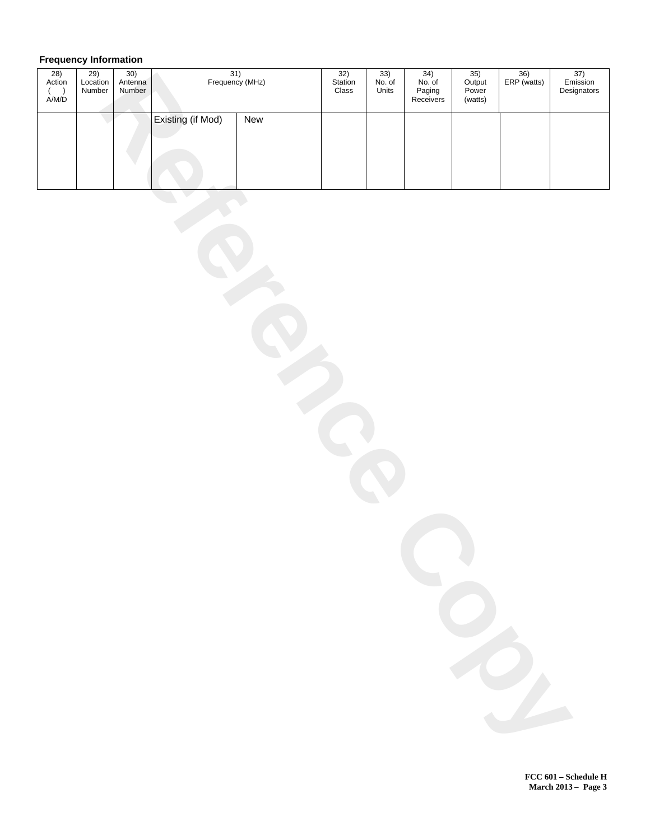# **Frequency Information**

| $\frac{28}{\text{Action}}$<br>$\begin{array}{c} ( \\\bigwedge \end{array}$ A/M/D | $\frac{29}{\text{Location}}$<br>Number | 30)<br>Antenna<br>Number | $\frac{31}{2}$ Frequency (MHz) |     | $\overline{\frac{32}{\text{Station}}}$<br>Class | $\overline{33)}$<br>No. of<br>Units | 34)<br>No. of<br>Paging<br>Receivers | $\overline{\frac{35}{\text{Output}}}$<br>Power<br>(watts) | $\frac{36}{ERP \text{ (watts)}}$ | 37)<br>Emission<br>Designators |
|----------------------------------------------------------------------------------|----------------------------------------|--------------------------|--------------------------------|-----|-------------------------------------------------|-------------------------------------|--------------------------------------|-----------------------------------------------------------|----------------------------------|--------------------------------|
|                                                                                  |                                        |                          | Existing (if Mod)              | New |                                                 |                                     |                                      |                                                           |                                  |                                |
|                                                                                  |                                        |                          |                                |     |                                                 |                                     |                                      |                                                           |                                  |                                |